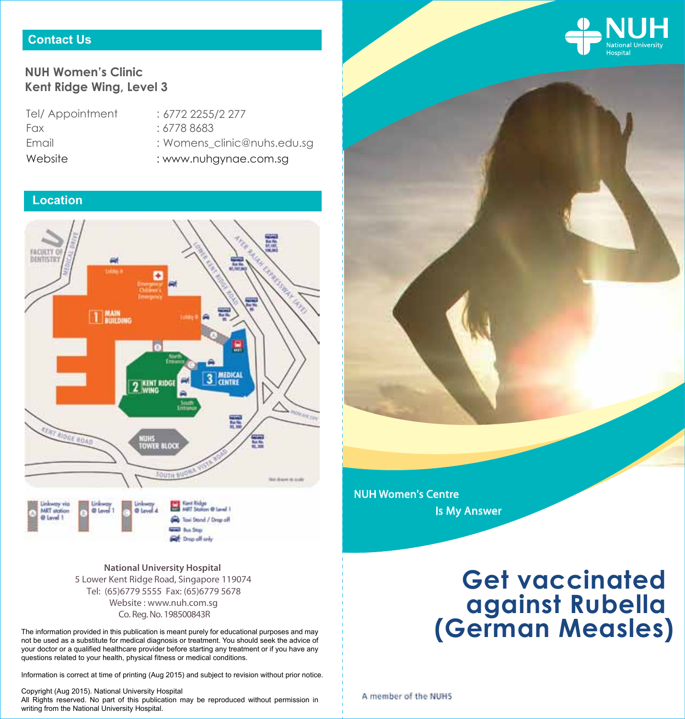

# **NUH Women's Clinic Kent Ridge Wing, Level 3**

Tel/ Appointment Fax : 6778 8683 **Email** 

- 6772 2255/2 277 : Womens\_clinic@nuhs.edu.sg
- Website : www.nuhgynae.com.sg

# **Location**



Co. Reg. No. 198500843R **National University Hospital**  5 Lower Kent Ridge Road, Singapore 119074 Website : www.nuh.com.sg Tel: (65)6779 5555 Fax: (65)6779 5678

**Get** Drop off only

The information provided in this publication is meant purely for educational purposes and may not be used as a substitute for medical diagnosis or treatment. You should seek the advice of your doctor or a qualified healthcare provider before starting any treatment or if you have any questions related to your health, physical fitness or medical conditions.

Information is correct at time of printing (Aug 2015) and subject to revision without prior notice.

Copyright (Aug 2015). National University Hospital All Rights reserved. No part of this publication may be reproduced without permission in writing from the National University Hospital.

# **Get vaccinated against Rubella (German Measles)**

A member of the NUHS

NUH Women's Centre

Is My Answer